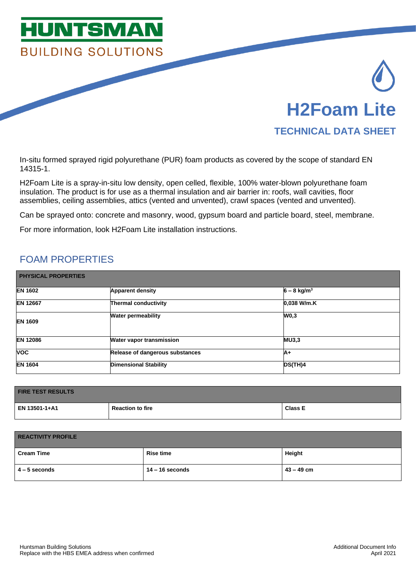

In-situ formed sprayed rigid polyurethane (PUR) foam products as covered by the scope of standard EN 14315-1.

H2Foam Lite is a spray-in-situ low density, open celled, flexible, 100% water-blown polyurethane foam insulation. The product is for use as a thermal insulation and air barrier in: roofs, wall cavities, floor assemblies, ceiling assemblies, attics (vented and unvented), crawl spaces (vented and unvented).

Can be sprayed onto: concrete and masonry, wood, gypsum board and particle board, steel, membrane.

For more information, look H2Foam Lite installation instructions.

## FOAM PROPERTIES

| <b>PHYSICAL PROPERTIES</b> |                                 |                           |  |  |
|----------------------------|---------------------------------|---------------------------|--|--|
| <b>EN 1602</b>             | <b>Apparent density</b>         | $6 - 8$ kg/m <sup>3</sup> |  |  |
| <b>EN 12667</b>            | <b>Thermal conductivity</b>     | 0.038 W/m.K               |  |  |
| <b>EN 1609</b>             | <b>Water permeability</b>       | W0,3                      |  |  |
| <b>EN 12086</b>            | <b>Water vapor transmission</b> | <b>MU3,3</b>              |  |  |
| <b>VOC</b>                 | Release of dangerous substances | ΙA+                       |  |  |
| <b>EN 1604</b>             | <b>Dimensional Stability</b>    | DS(TH)4                   |  |  |

| <b>FIRE TEST RESULTS</b> |                         |                |  |  |
|--------------------------|-------------------------|----------------|--|--|
| EN 13501-1+A1            | <b>Reaction to fire</b> | <b>Class E</b> |  |  |

| <b>REACTIVITY PROFILE</b> |                   |            |  |  |  |
|---------------------------|-------------------|------------|--|--|--|
| <b>Cream Time</b>         | <b>Rise time</b>  | Height     |  |  |  |
| $4 - 5$ seconds           | $14 - 16$ seconds | 43 – 49 cm |  |  |  |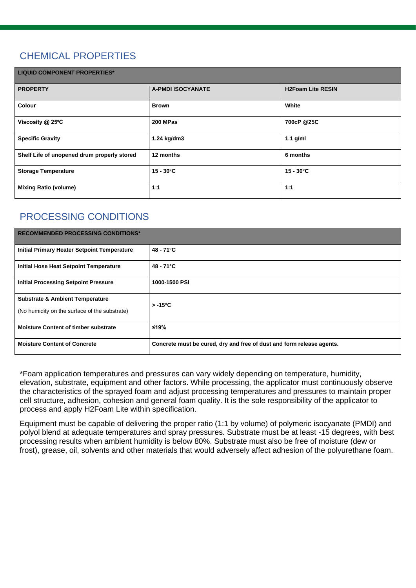# CHEMICAL PROPERTIES

| <b>LIQUID COMPONENT PROPERTIES*</b>         |                          |                          |  |  |  |
|---------------------------------------------|--------------------------|--------------------------|--|--|--|
| <b>PROPERTY</b>                             | <b>A-PMDI ISOCYANATE</b> | <b>H2Foam Lite RESIN</b> |  |  |  |
| Colour                                      | <b>Brown</b>             | White                    |  |  |  |
| Viscosity $@$ 25°C                          | 200 MPas                 | 700cP @25C               |  |  |  |
| <b>Specific Gravity</b>                     | 1.24 kg/dm3              | $1.1$ g/ml               |  |  |  |
| Shelf Life of unopened drum properly stored | 12 months                | 6 months                 |  |  |  |
| <b>Storage Temperature</b>                  | $15 - 30^{\circ}C$       | $15 - 30^{\circ}C$       |  |  |  |
| <b>Mixing Ratio (volume)</b>                | 1:1                      | 1:1                      |  |  |  |

## PROCESSING CONDITIONS

| <b>RECOMMENDED PROCESSING CONDITIONS*</b>                                                   |                                                                       |  |
|---------------------------------------------------------------------------------------------|-----------------------------------------------------------------------|--|
| <b>Initial Primary Heater Setpoint Temperature</b>                                          | $48 - 71^{\circ}C$                                                    |  |
| <b>Initial Hose Heat Setpoint Temperature</b>                                               | $48 - 71^{\circ}C$                                                    |  |
| <b>Initial Processing Setpoint Pressure</b>                                                 | 1000-1500 PSI                                                         |  |
| <b>Substrate &amp; Ambient Temperature</b><br>(No humidity on the surface of the substrate) | $> -15^{\circ}C$                                                      |  |
| <b>Moisture Content of timber substrate</b>                                                 | $≤19%$                                                                |  |
| <b>Moisture Content of Concrete</b>                                                         | Concrete must be cured, dry and free of dust and form release agents. |  |

\*Foam application temperatures and pressures can vary widely depending on temperature, humidity, elevation, substrate, equipment and other factors. While processing, the applicator must continuously observe the characteristics of the sprayed foam and adjust processing temperatures and pressures to maintain proper cell structure, adhesion, cohesion and general foam quality. It is the sole responsibility of the applicator to process and apply H2Foam Lite within specification.

Equipment must be capable of delivering the proper ratio (1:1 by volume) of polymeric isocyanate (PMDI) and polyol blend at adequate temperatures and spray pressures. Substrate must be at least -15 degrees, with best processing results when ambient humidity is below 80%. Substrate must also be free of moisture (dew or frost), grease, oil, solvents and other materials that would adversely affect adhesion of the polyurethane foam.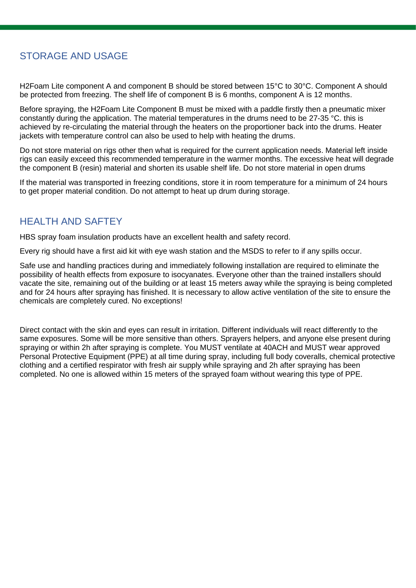## STORAGE AND USAGE

H2Foam Lite component A and component B should be stored between 15°C to 30°C. Component A should be protected from freezing. The shelf life of component B is 6 months, component A is 12 months.

Before spraying, the H2Foam Lite Component B must be mixed with a paddle firstly then a pneumatic mixer constantly during the application. The material temperatures in the drums need to be 27-35 °C. this is achieved by re-circulating the material through the heaters on the proportioner back into the drums. Heater jackets with temperature control can also be used to help with heating the drums.

Do not store material on rigs other then what is required for the current application needs. Material left inside rigs can easily exceed this recommended temperature in the warmer months. The excessive heat will degrade the component B (resin) material and shorten its usable shelf life. Do not store material in open drums

If the material was transported in freezing conditions, store it in room temperature for a minimum of 24 hours to get proper material condition. Do not attempt to heat up drum during storage.

### HEALTH AND SAFTEY

HBS spray foam insulation products have an excellent health and safety record.

Every rig should have a first aid kit with eye wash station and the MSDS to refer to if any spills occur.

Safe use and handling practices during and immediately following installation are required to eliminate the possibility of health effects from exposure to isocyanates. Everyone other than the trained installers should vacate the site, remaining out of the building or at least 15 meters away while the spraying is being completed and for 24 hours after spraying has finished. It is necessary to allow active ventilation of the site to ensure the chemicals are completely cured. No exceptions!

Direct contact with the skin and eyes can result in irritation. Different individuals will react differently to the same exposures. Some will be more sensitive than others. Sprayers helpers, and anyone else present during spraying or within 2h after spraying is complete. You MUST ventilate at 40ACH and MUST wear approved Personal Protective Equipment (PPE) at all time during spray, including full body coveralls, chemical protective clothing and a certified respirator with fresh air supply while spraying and 2h after spraying has been completed. No one is allowed within 15 meters of the sprayed foam without wearing this type of PPE.